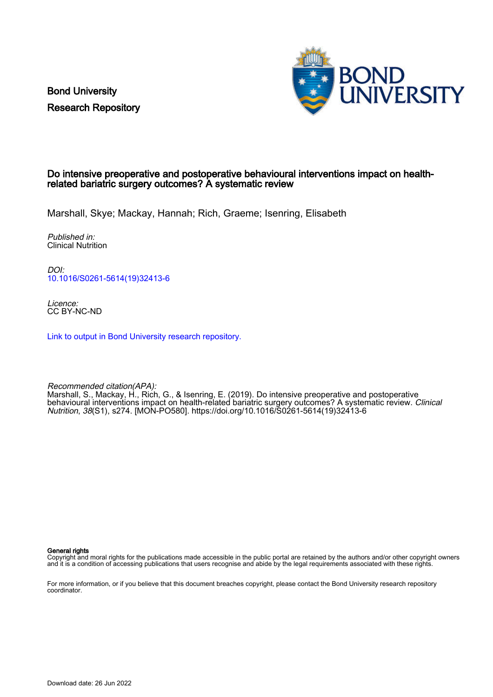Bond University Research Repository



#### Do intensive preoperative and postoperative behavioural interventions impact on healthrelated bariatric surgery outcomes? A systematic review

Marshall, Skye; Mackay, Hannah; Rich, Graeme; Isenring, Elisabeth

Published in: Clinical Nutrition

DOI: [10.1016/S0261-5614\(19\)32413-6](https://doi.org/10.1016/S0261-5614(19)32413-6)

Licence: CC BY-NC-ND

[Link to output in Bond University research repository.](https://research.bond.edu.au/en/publications/faa1138b-b985-4766-992a-53e466ad06d2)

Recommended citation(APA): Marshall, S., Mackay, H., Rich, G., & Isenring, E. (2019). Do intensive preoperative and postoperative behavioural interventions impact on health-related bariatric surgery outcomes? A systematic review. Clinical Nutrition, 38(S1), s274. [MON-PO580]. [https://doi.org/10.1016/S0261-5614\(19\)32413-6](https://doi.org/10.1016/S0261-5614(19)32413-6)

General rights

Copyright and moral rights for the publications made accessible in the public portal are retained by the authors and/or other copyright owners and it is a condition of accessing publications that users recognise and abide by the legal requirements associated with these rights.

For more information, or if you believe that this document breaches copyright, please contact the Bond University research repository coordinator.